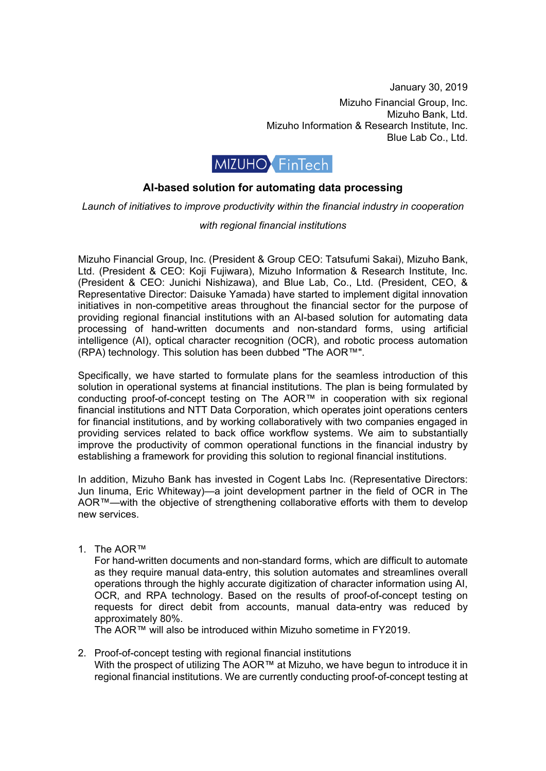January 30, 2019 Mizuho Financial Group, Inc. Mizuho Bank, Ltd. Mizuho Information & Research Institute, Inc. Blue Lab Co., Ltd.



## **AI-based solution for automating data processing**

*Launch of initiatives to improve productivity within the financial industry in cooperation* 

## *with regional financial institutions*

Mizuho Financial Group, Inc. (President & Group CEO: Tatsufumi Sakai), Mizuho Bank, Ltd. (President & CEO: Koji Fujiwara), Mizuho Information & Research Institute, Inc. (President & CEO: Junichi Nishizawa), and Blue Lab, Co., Ltd. (President, CEO, & Representative Director: Daisuke Yamada) have started to implement digital innovation initiatives in non-competitive areas throughout the financial sector for the purpose of providing regional financial institutions with an AI-based solution for automating data processing of hand-written documents and non-standard forms, using artificial intelligence (AI), optical character recognition (OCR), and robotic process automation (RPA) technology. This solution has been dubbed "The AOR™".

Specifically, we have started to formulate plans for the seamless introduction of this solution in operational systems at financial institutions. The plan is being formulated by conducting proof-of-concept testing on The AOR™ in cooperation with six regional financial institutions and NTT Data Corporation, which operates joint operations centers for financial institutions, and by working collaboratively with two companies engaged in providing services related to back office workflow systems. We aim to substantially improve the productivity of common operational functions in the financial industry by establishing a framework for providing this solution to regional financial institutions.

In addition, Mizuho Bank has invested in Cogent Labs Inc. (Representative Directors: Jun Iinuma, Eric Whiteway)—a joint development partner in the field of OCR in The AOR™—with the objective of strengthening collaborative efforts with them to develop new services.

1. The AOR™

For hand-written documents and non-standard forms, which are difficult to automate as they require manual data-entry, this solution automates and streamlines overall operations through the highly accurate digitization of character information using AI, OCR, and RPA technology. Based on the results of proof-of-concept testing on requests for direct debit from accounts, manual data-entry was reduced by approximately 80%.

The AOR™ will also be introduced within Mizuho sometime in FY2019.

2. Proof-of-concept testing with regional financial institutions With the prospect of utilizing The AOR™ at Mizuho, we have begun to introduce it in regional financial institutions. We are currently conducting proof-of-concept testing at